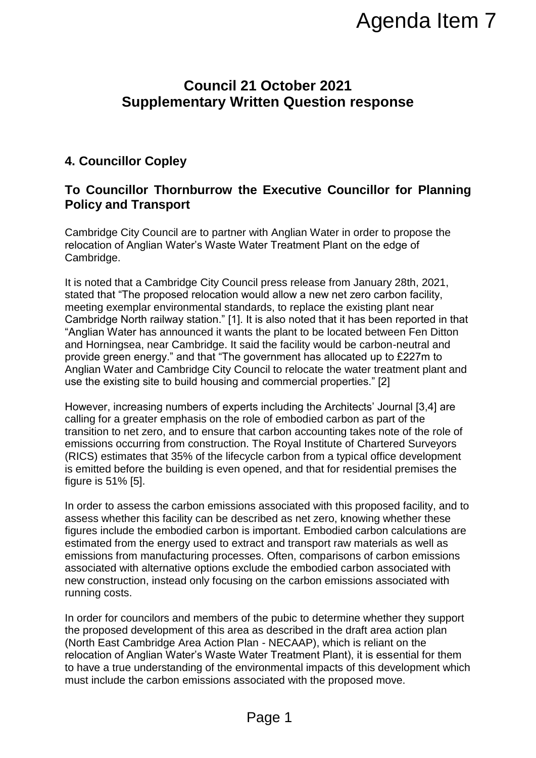# **Council 21 October 2021 Supplementary Written Question response**

## **4. Councillor Copley**

### **To Councillor Thornburrow the Executive Councillor for Planning Policy and Transport**

Cambridge City Council are to partner with Anglian Water in order to propose the relocation of Anglian Water's Waste Water Treatment Plant on the edge of Cambridge.

It is noted that a Cambridge City Council press release from January 28th, 2021, stated that "The proposed relocation would allow a new net zero carbon facility, meeting exemplar environmental standards, to replace the existing plant near Cambridge North railway station." [1]. It is also noted that it has been reported in that "Anglian Water has announced it wants the plant to be located between Fen Ditton and Horningsea, near Cambridge. It said the facility would be carbon-neutral and provide green energy." and that "The government has allocated up to £227m to Anglian Water and Cambridge City Council to relocate the water treatment plant and use the existing site to build housing and commercial properties." [2] Agenda Item 7<br>
The Corologner 2021<br>
The Corologner 2021<br>
The Corologner Councillor for Planning<br>
The Executive Councillor for Planning<br>
with Anglian Water in order to propose the<br>
dater Treatment Plant on the edge of<br>
coll

However, increasing numbers of experts including the Architects' Journal [3,4] are calling for a greater emphasis on the role of embodied carbon as part of the transition to net zero, and to ensure that carbon accounting takes note of the role of emissions occurring from construction. The Royal Institute of Chartered Surveyors (RICS) estimates that 35% of the lifecycle carbon from a typical office development is emitted before the building is even opened, and that for residential premises the figure is 51% [5].

In order to assess the carbon emissions associated with this proposed facility, and to assess whether this facility can be described as net zero, knowing whether these figures include the embodied carbon is important. Embodied carbon calculations are estimated from the energy used to extract and transport raw materials as well as emissions from manufacturing processes. Often, comparisons of carbon emissions associated with alternative options exclude the embodied carbon associated with new construction, instead only focusing on the carbon emissions associated with running costs.

In order for councilors and members of the pubic to determine whether they support the proposed development of this area as described in the draft area action plan (North East Cambridge Area Action Plan - NECAAP), which is reliant on the relocation of Anglian Water's Waste Water Treatment Plant), it is essential for them to have a true understanding of the environmental impacts of this development which must include the carbon emissions associated with the proposed move.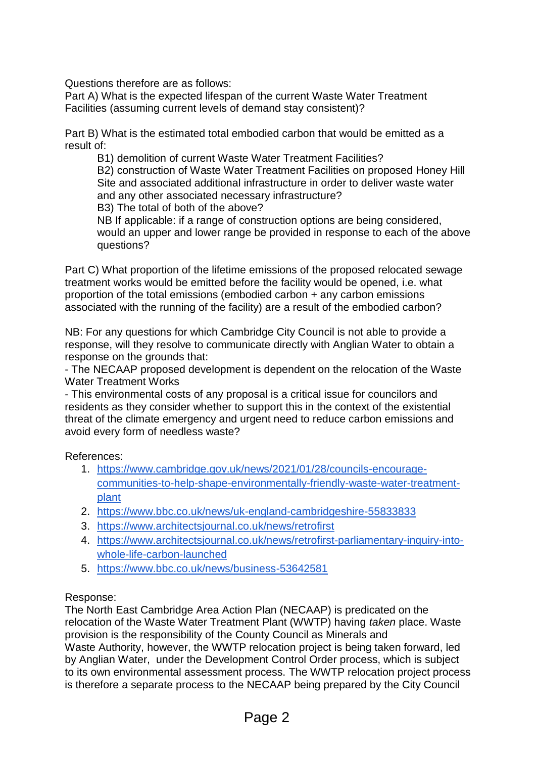Questions therefore are as follows:

Part A) What is the expected lifespan of the current Waste Water Treatment Facilities (assuming current levels of demand stay consistent)?

Part B) What is the estimated total embodied carbon that would be emitted as a result of:

B1) demolition of current Waste Water Treatment Facilities? B2) construction of Waste Water Treatment Facilities on proposed Honey Hill Site and associated additional infrastructure in order to deliver waste water and any other associated necessary infrastructure?

B3) The total of both of the above?

NB If applicable: if a range of construction options are being considered, would an upper and lower range be provided in response to each of the above questions?

Part C) What proportion of the lifetime emissions of the proposed relocated sewage treatment works would be emitted before the facility would be opened, i.e. what proportion of the total emissions (embodied carbon + any carbon emissions associated with the running of the facility) are a result of the embodied carbon?

NB: For any questions for which Cambridge City Council is not able to provide a response, will they resolve to communicate directly with Anglian Water to obtain a response on the grounds that:

- The NECAAP proposed development is dependent on the relocation of the Waste Water Treatment Works

- This environmental costs of any proposal is a critical issue for councilors and residents as they consider whether to support this in the context of the existential threat of the climate emergency and urgent need to reduce carbon emissions and avoid every form of needless waste?

References:

- 1. [https://www.cambridge.gov.uk/news/2021/01/28/councils-encourage](https://www.cambridge.gov.uk/news/2021/01/28/councils-encourage-communities-to-help-shape-environmentally-friendly-waste-water-treatment-plant)[communities-to-help-shape-environmentally-friendly-waste-water-treatment](https://www.cambridge.gov.uk/news/2021/01/28/councils-encourage-communities-to-help-shape-environmentally-friendly-waste-water-treatment-plant)[plant](https://www.cambridge.gov.uk/news/2021/01/28/councils-encourage-communities-to-help-shape-environmentally-friendly-waste-water-treatment-plant)
- 2. <https://www.bbc.co.uk/news/uk-england-cambridgeshire-55833833>
- 3. <https://www.architectsjournal.co.uk/news/retrofirst>
- 4. [https://www.architectsjournal.co.uk/news/retrofirst-parliamentary-inquiry-into](https://www.architectsjournal.co.uk/news/retrofirst-parliamentary-inquiry-into-whole-life-carbon-launched)[whole-life-carbon-launched](https://www.architectsjournal.co.uk/news/retrofirst-parliamentary-inquiry-into-whole-life-carbon-launched)
- 5. <https://www.bbc.co.uk/news/business-53642581>

#### Response:

The North East Cambridge Area Action Plan (NECAAP) is predicated on the relocation of the Waste Water Treatment Plant (WWTP) having *taken* place. Waste provision is the responsibility of the County Council as Minerals and Waste Authority, however, the WWTP relocation project is being taken forward, led by Anglian Water, under the Development Control Order process, which is subject to its own environmental assessment process. The WWTP relocation project process is therefore a separate process to the NECAAP being prepared by the City Council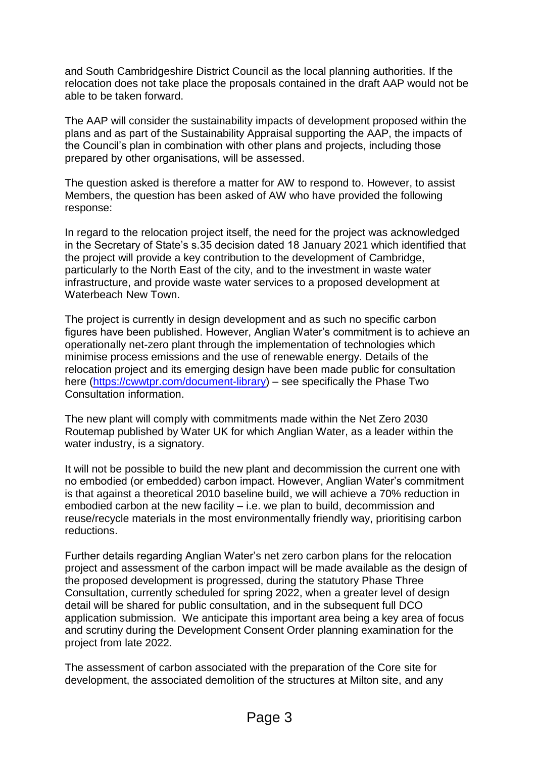and South Cambridgeshire District Council as the local planning authorities. If the relocation does not take place the proposals contained in the draft AAP would not be able to be taken forward.

The AAP will consider the sustainability impacts of development proposed within the plans and as part of the Sustainability Appraisal supporting the AAP, the impacts of the Council's plan in combination with other plans and projects, including those prepared by other organisations, will be assessed.

The question asked is therefore a matter for AW to respond to. However, to assist Members, the question has been asked of AW who have provided the following response:

In regard to the relocation project itself, the need for the project was acknowledged in the Secretary of State's s.35 decision dated 18 January 2021 which identified that the project will provide a key contribution to the development of Cambridge, particularly to the North East of the city, and to the investment in waste water infrastructure, and provide waste water services to a proposed development at Waterbeach New Town.

The project is currently in design development and as such no specific carbon figures have been published. However, Anglian Water's commitment is to achieve an operationally net-zero plant through the implementation of technologies which minimise process emissions and the use of renewable energy. Details of the relocation project and its emerging design have been made public for consultation here [\(https://cwwtpr.com/document-library\)](https://protect-eu.mimecast.com/s/YtSPCJ8GSKP0qMuVcE8R?domain=cwwtpr.com) – see specifically the Phase Two Consultation information.

The new plant will comply with commitments made within the Net Zero 2030 Routemap published by Water UK for which Anglian Water, as a leader within the water industry, is a signatory.

It will not be possible to build the new plant and decommission the current one with no embodied (or embedded) carbon impact. However, Anglian Water's commitment is that against a theoretical 2010 baseline build, we will achieve a 70% reduction in embodied carbon at the new facility – i.e. we plan to build, decommission and reuse/recycle materials in the most environmentally friendly way, prioritising carbon reductions.

Further details regarding Anglian Water's net zero carbon plans for the relocation project and assessment of the carbon impact will be made available as the design of the proposed development is progressed, during the statutory Phase Three Consultation, currently scheduled for spring 2022, when a greater level of design detail will be shared for public consultation, and in the subsequent full DCO application submission. We anticipate this important area being a key area of focus and scrutiny during the Development Consent Order planning examination for the project from late 2022*.* 

The assessment of carbon associated with the preparation of the Core site for development, the associated demolition of the structures at Milton site, and any